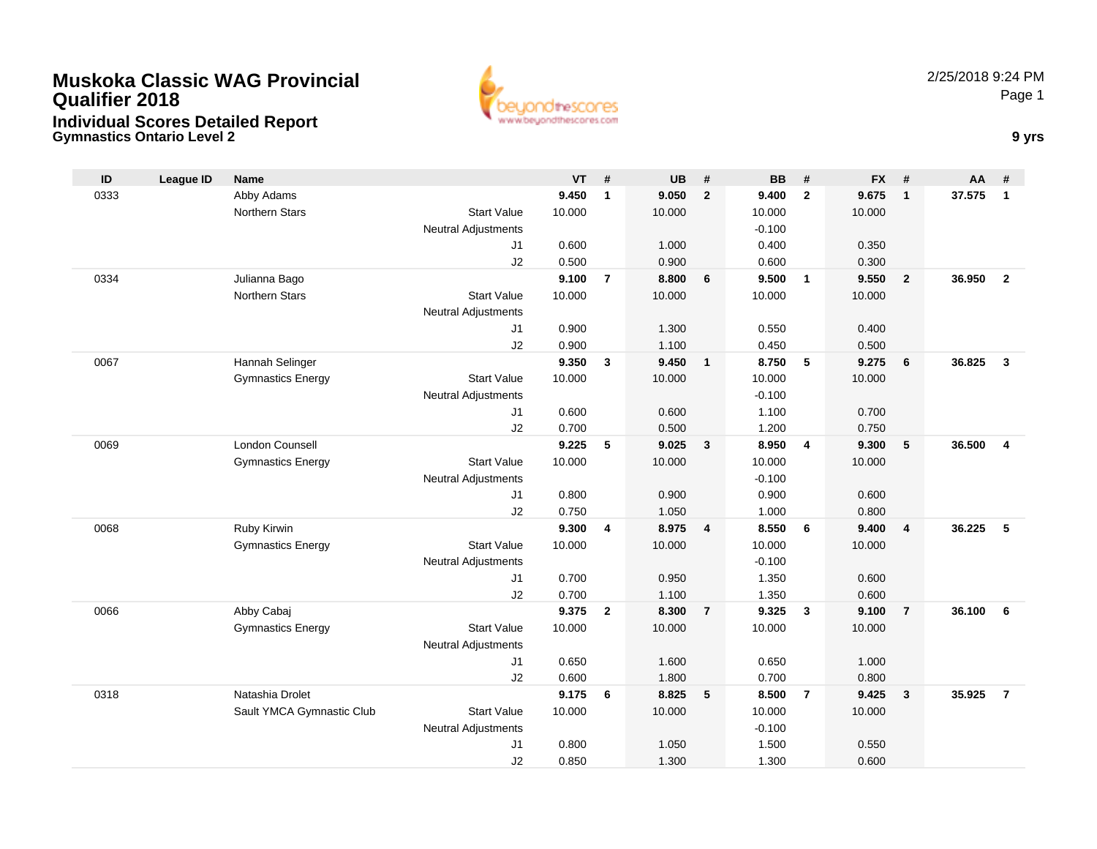## **Muskoka Classic WAG ProvincialQualifier 2018**



**Gymnastics Ontario Level 2 9 yrs Individual Scores Detailed Report**

| ID   | <b>League ID</b> | <b>Name</b>                            |                                  | $VT$ #         |                         | <b>UB</b>      | #              | <b>BB</b>      | #                        | <b>FX</b>      | #                       | <b>AA</b> | #              |
|------|------------------|----------------------------------------|----------------------------------|----------------|-------------------------|----------------|----------------|----------------|--------------------------|----------------|-------------------------|-----------|----------------|
| 0333 |                  | Abby Adams                             |                                  | 9.450          | $\mathbf{1}$            | 9.050          | $\overline{2}$ | 9.400          | $\overline{2}$           | 9.675          | $\mathbf{1}$            | 37.575    | $\mathbf{1}$   |
|      |                  | Northern Stars                         | <b>Start Value</b>               | 10.000         |                         | 10.000         |                | 10.000         |                          | 10.000         |                         |           |                |
|      |                  |                                        | <b>Neutral Adjustments</b>       |                |                         |                |                | $-0.100$       |                          |                |                         |           |                |
|      |                  |                                        | J1                               | 0.600          |                         | 1.000          |                | 0.400          |                          | 0.350          |                         |           |                |
|      |                  |                                        | J2                               | 0.500          |                         | 0.900          |                | 0.600          |                          | 0.300          |                         |           |                |
| 0334 |                  | Julianna Bago                          |                                  | 9.100          | $\overline{7}$          | 8.800          | 6              | 9.500          | $\overline{\phantom{0}}$ | 9.550          | $\overline{2}$          | 36.950    | $\overline{2}$ |
|      |                  | Northern Stars                         | <b>Start Value</b>               | 10.000         |                         | 10.000         |                | 10.000         |                          | 10.000         |                         |           |                |
|      |                  |                                        | <b>Neutral Adjustments</b>       |                |                         |                |                |                |                          |                |                         |           |                |
|      |                  |                                        | J1                               | 0.900          |                         | 1.300          |                | 0.550          |                          | 0.400          |                         |           |                |
|      |                  |                                        | J2                               | 0.900          |                         | 1.100          |                | 0.450          |                          | 0.500          |                         |           |                |
| 0067 |                  | Hannah Selinger                        |                                  | 9.350          | 3                       | 9.450          | $\mathbf{1}$   | 8.750          | 5                        | 9.275          | 6                       | 36.825    | $\mathbf{3}$   |
|      |                  | <b>Gymnastics Energy</b>               | <b>Start Value</b>               | 10.000         |                         | 10.000         |                | 10.000         |                          | 10.000         |                         |           |                |
|      |                  |                                        | <b>Neutral Adjustments</b>       |                |                         |                |                | $-0.100$       |                          |                |                         |           |                |
|      |                  |                                        | J1                               | 0.600          |                         | 0.600          |                | 1.100          |                          | 0.700          |                         |           |                |
|      |                  |                                        | J2                               | 0.700          |                         | 0.500          |                | 1.200          |                          | 0.750          |                         |           |                |
| 0069 |                  | London Counsell                        |                                  | 9.225          | 5                       | 9.025          | $\mathbf{3}$   | 8.950          | $\overline{4}$           | 9.300          | 5                       | 36.500    | $\overline{4}$ |
|      |                  | <b>Gymnastics Energy</b>               | <b>Start Value</b>               | 10.000         |                         | 10.000         |                | 10.000         |                          | 10.000         |                         |           |                |
|      |                  |                                        | <b>Neutral Adjustments</b>       |                |                         |                |                | $-0.100$       |                          |                |                         |           |                |
|      |                  |                                        | J <sub>1</sub>                   | 0.800          |                         | 0.900          |                | 0.900          |                          | 0.600          |                         |           |                |
|      |                  |                                        | J2                               | 0.750          |                         | 1.050          |                | 1.000          |                          | 0.800          |                         |           |                |
| 0068 |                  | Ruby Kirwin                            |                                  | 9.300          | $\overline{\mathbf{4}}$ | 8.975          | $\overline{4}$ | 8.550          | 6                        | 9.400          | $\overline{4}$          | 36.225    | 5              |
|      |                  | <b>Gymnastics Energy</b>               | <b>Start Value</b>               | 10.000         |                         | 10.000         |                | 10.000         |                          | 10.000         |                         |           |                |
|      |                  |                                        | <b>Neutral Adjustments</b>       |                |                         |                |                | $-0.100$       |                          |                |                         |           |                |
|      |                  |                                        | J1                               | 0.700          |                         | 0.950          |                | 1.350          |                          | 0.600          |                         |           |                |
| 0066 |                  |                                        | J2                               | 0.700<br>9.375 | $\overline{2}$          | 1.100<br>8.300 | $\overline{7}$ | 1.350<br>9.325 | $\mathbf{3}$             | 0.600<br>9.100 | $\overline{7}$          | 36.100    | 6              |
|      |                  | Abby Cabaj<br><b>Gymnastics Energy</b> | <b>Start Value</b>               | 10.000         |                         | 10.000         |                | 10.000         |                          |                |                         |           |                |
|      |                  |                                        |                                  |                |                         |                |                |                |                          | 10.000         |                         |           |                |
|      |                  |                                        | <b>Neutral Adjustments</b><br>J1 | 0.650          |                         | 1.600          |                | 0.650          |                          | 1.000          |                         |           |                |
|      |                  |                                        | J2                               | 0.600          |                         | 1.800          |                | 0.700          |                          | 0.800          |                         |           |                |
| 0318 |                  | Natashia Drolet                        |                                  | 9.175          | 6                       | 8.825          | 5              | 8.500          | $\overline{7}$           | 9.425          | $\overline{\mathbf{3}}$ | 35.925    | $\overline{7}$ |
|      |                  | Sault YMCA Gymnastic Club              | <b>Start Value</b>               | 10.000         |                         | 10.000         |                | 10.000         |                          | 10.000         |                         |           |                |
|      |                  |                                        | <b>Neutral Adjustments</b>       |                |                         |                |                | $-0.100$       |                          |                |                         |           |                |
|      |                  |                                        | J <sub>1</sub>                   | 0.800          |                         | 1.050          |                | 1.500          |                          | 0.550          |                         |           |                |
|      |                  |                                        | J2                               | 0.850          |                         | 1.300          |                | 1.300          |                          | 0.600          |                         |           |                |
|      |                  |                                        |                                  |                |                         |                |                |                |                          |                |                         |           |                |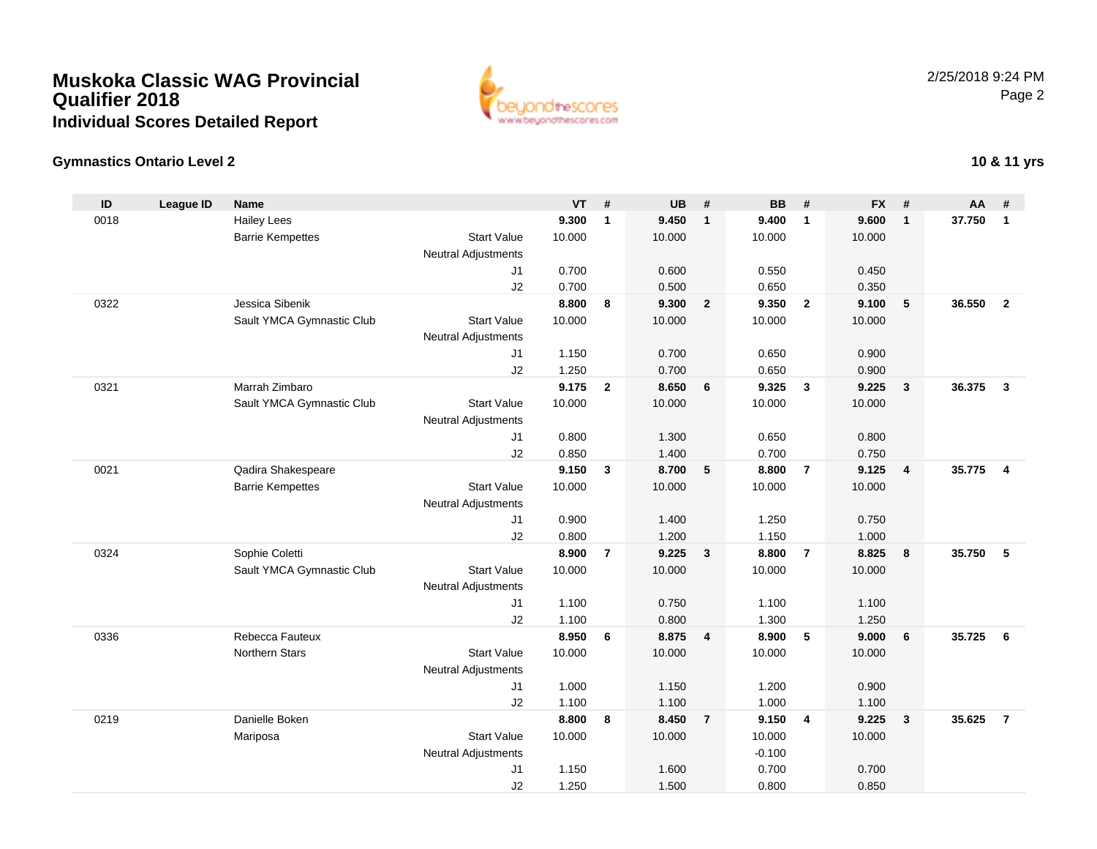## **Muskoka Classic WAG ProvincialQualifier 2018Individual Scores Detailed Report**



## **Gymnastics Ontario Level 2**

| ID   | <b>League ID</b> | <b>Name</b>               |                                  | <b>VT</b>      | #              | <b>UB</b> | #                       | <b>BB</b>      | #              | <b>FX</b> | #              | AA     | #              |
|------|------------------|---------------------------|----------------------------------|----------------|----------------|-----------|-------------------------|----------------|----------------|-----------|----------------|--------|----------------|
| 0018 |                  | <b>Hailey Lees</b>        |                                  | 9.300          | $\mathbf{1}$   | 9.450     | $\overline{1}$          | 9.400          | $\mathbf{1}$   | 9.600     | $\mathbf{1}$   | 37.750 | $\mathbf{1}$   |
|      |                  | <b>Barrie Kempettes</b>   | <b>Start Value</b>               | 10.000         |                | 10.000    |                         | 10.000         |                | 10.000    |                |        |                |
|      |                  |                           | <b>Neutral Adjustments</b>       |                |                |           |                         |                |                |           |                |        |                |
|      |                  |                           | J <sub>1</sub>                   | 0.700          |                | 0.600     |                         | 0.550          |                | 0.450     |                |        |                |
|      |                  |                           | J2                               | 0.700          |                | 0.500     |                         | 0.650          |                | 0.350     |                |        |                |
| 0322 |                  | Jessica Sibenik           |                                  | 8.800          | 8              | 9.300     | $\overline{\mathbf{2}}$ | 9.350          | $\overline{2}$ | 9.100     | 5              | 36.550 | $\overline{2}$ |
|      |                  | Sault YMCA Gymnastic Club | <b>Start Value</b>               | 10.000         |                | 10.000    |                         | 10.000         |                | 10.000    |                |        |                |
|      |                  |                           | <b>Neutral Adjustments</b>       |                |                |           |                         |                |                |           |                |        |                |
|      |                  |                           | J1                               | 1.150          |                | 0.700     |                         | 0.650          |                | 0.900     |                |        |                |
|      |                  |                           | J2                               | 1.250          |                | 0.700     |                         | 0.650          |                | 0.900     |                |        |                |
| 0321 |                  | Marrah Zimbaro            |                                  | 9.175          | $\overline{2}$ | 8.650     | 6                       | 9.325          | $\mathbf{3}$   | 9.225     | $\mathbf{3}$   | 36.375 | $\mathbf{3}$   |
|      |                  | Sault YMCA Gymnastic Club | <b>Start Value</b>               | 10.000         |                | 10.000    |                         | 10.000         |                | 10.000    |                |        |                |
|      |                  |                           | <b>Neutral Adjustments</b>       |                |                |           |                         |                |                |           |                |        |                |
|      |                  |                           | J1                               | 0.800          |                | 1.300     |                         | 0.650          |                | 0.800     |                |        |                |
|      |                  |                           | J2                               | 0.850          |                | 1.400     |                         | 0.700          |                | 0.750     |                |        |                |
| 0021 |                  | Qadira Shakespeare        |                                  | 9.150          | $\mathbf{3}$   | 8.700     | 5                       | 8.800          | $\overline{7}$ | 9.125     | $\overline{4}$ | 35.775 | $\overline{4}$ |
|      |                  | <b>Barrie Kempettes</b>   | <b>Start Value</b>               | 10.000         |                | 10.000    |                         | 10.000         |                | 10.000    |                |        |                |
|      |                  |                           | <b>Neutral Adjustments</b>       |                |                |           |                         |                |                |           |                |        |                |
|      |                  |                           | J <sub>1</sub>                   | 0.900          |                | 1.400     |                         | 1.250          |                | 0.750     |                |        |                |
|      |                  |                           | J2                               | 0.800<br>8.900 |                | 1.200     | $\overline{\mathbf{3}}$ | 1.150<br>8.800 | $\overline{7}$ | 1.000     |                | 35.750 |                |
| 0324 |                  | Sophie Coletti            | <b>Start Value</b>               |                | $\overline{7}$ | 9.225     |                         |                |                | 8.825     | 8              |        | 5              |
|      |                  | Sault YMCA Gymnastic Club |                                  | 10.000         |                | 10.000    |                         | 10.000         |                | 10.000    |                |        |                |
|      |                  |                           | <b>Neutral Adjustments</b><br>J1 | 1.100          |                | 0.750     |                         | 1.100          |                | 1.100     |                |        |                |
|      |                  |                           | J2                               | 1.100          |                | 0.800     |                         | 1.300          |                | 1.250     |                |        |                |
| 0336 |                  | Rebecca Fauteux           |                                  | 8.950          | 6              | 8.875     | $\overline{4}$          | 8.900          | 5              | 9.000     | 6              | 35.725 | - 6            |
|      |                  | <b>Northern Stars</b>     | <b>Start Value</b>               | 10.000         |                | 10.000    |                         | 10.000         |                | 10.000    |                |        |                |
|      |                  |                           | <b>Neutral Adjustments</b>       |                |                |           |                         |                |                |           |                |        |                |
|      |                  |                           | J1                               | 1.000          |                | 1.150     |                         | 1.200          |                | 0.900     |                |        |                |
|      |                  |                           | J2                               | 1.100          |                | 1.100     |                         | 1.000          |                | 1.100     |                |        |                |
| 0219 |                  | Danielle Boken            |                                  | 8.800          | 8              | 8.450     | $\overline{7}$          | 9.150          | $\overline{4}$ | 9.225     | $\mathbf{3}$   | 35.625 | $\overline{7}$ |
|      |                  | Mariposa                  | <b>Start Value</b>               | 10.000         |                | 10.000    |                         | 10.000         |                | 10.000    |                |        |                |
|      |                  |                           | <b>Neutral Adjustments</b>       |                |                |           |                         | $-0.100$       |                |           |                |        |                |
|      |                  |                           | J1                               | 1.150          |                | 1.600     |                         | 0.700          |                | 0.700     |                |        |                |
|      |                  |                           | J2                               | 1.250          |                | 1.500     |                         | 0.800          |                | 0.850     |                |        |                |
|      |                  |                           |                                  |                |                |           |                         |                |                |           |                |        |                |

**10 & 11 yrs**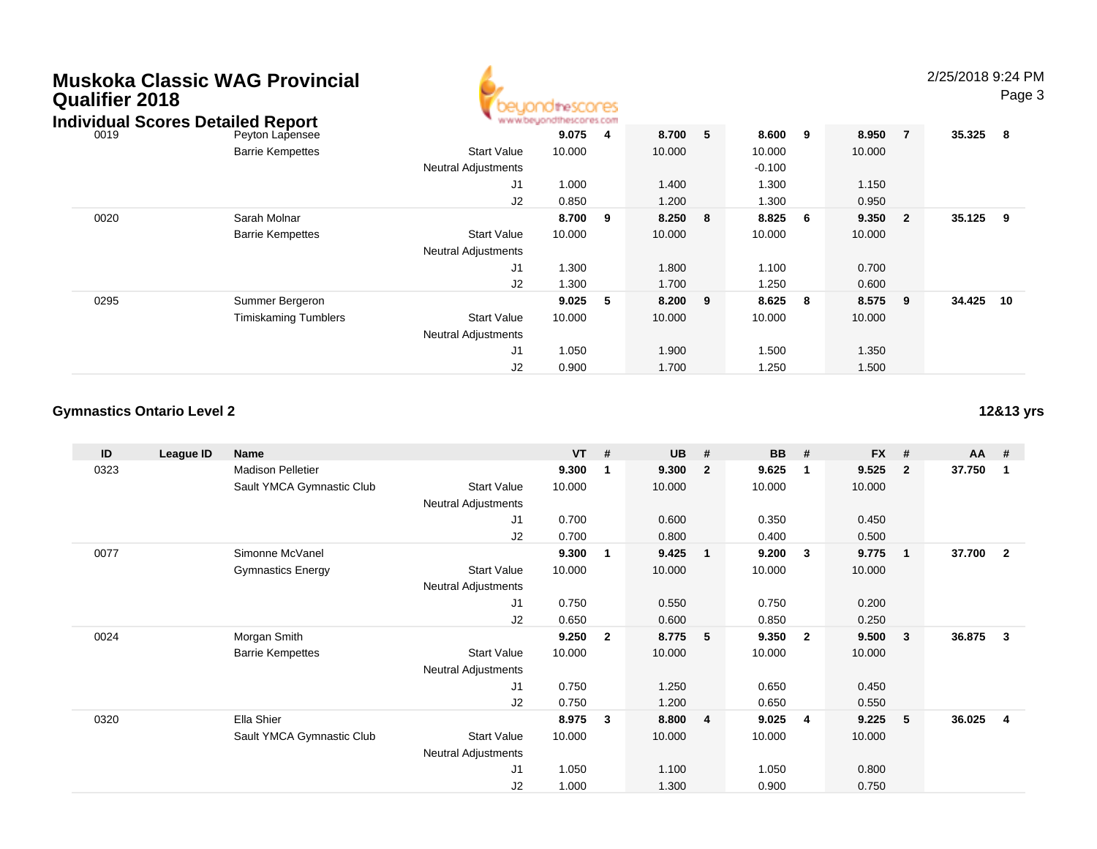| Muskoka Classic WAG Provincial<br>Qualifier 2018<br><b>Individual Scores Detailed Report</b> |                             | rescores                                         |                 |                |        |                    |        |        |        |                |        | 2/25/2018 9:24 PM<br>Page 3 |  |
|----------------------------------------------------------------------------------------------|-----------------------------|--------------------------------------------------|-----------------|----------------|--------|--------------------|--------|--------|--------|----------------|--------|-----------------------------|--|
| 0019                                                                                         | Peyton Lapensee             |                                                  | 9.075<br>10.000 | $\overline{4}$ | 8.700  | 5                  | 8.600  | 9      | 8.950  | $\overline{7}$ | 35.325 | $\overline{\mathbf{8}}$     |  |
|                                                                                              | <b>Barrie Kempettes</b>     | <b>Start Value</b><br><b>Neutral Adjustments</b> |                 | 10.000         |        | 10.000<br>$-0.100$ |        | 10.000 |        |                |        |                             |  |
|                                                                                              |                             | J <sub>1</sub>                                   | 1.000           |                | 1.400  |                    | 1.300  |        | 1.150  |                |        |                             |  |
|                                                                                              |                             | J2                                               | 0.850           |                | 1.200  |                    | 1.300  |        | 0.950  |                |        |                             |  |
| 0020                                                                                         | Sarah Molnar                |                                                  | 8.700           | - 9            | 8.250  | 8                  | 8.825  | -6     | 9.350  | $\overline{2}$ | 35.125 | 9                           |  |
|                                                                                              | <b>Barrie Kempettes</b>     | <b>Start Value</b><br><b>Neutral Adjustments</b> | 10.000          |                | 10.000 |                    | 10.000 |        | 10.000 |                |        |                             |  |
|                                                                                              |                             | J1                                               | 1.300           |                | 1.800  |                    | 1.100  |        | 0.700  |                |        |                             |  |
|                                                                                              |                             | J2                                               | 1.300           |                | 1.700  |                    | 1.250  |        | 0.600  |                |        |                             |  |
| 0295                                                                                         | Summer Bergeron             |                                                  | 9.025           | -5             | 8.200  | 9                  | 8.625  | -8     | 8.575  | 9              | 34.425 | 10                          |  |
|                                                                                              | <b>Timiskaming Tumblers</b> | <b>Start Value</b>                               | 10.000          |                | 10.000 |                    | 10.000 |        | 10.000 |                |        |                             |  |
|                                                                                              |                             | <b>Neutral Adjustments</b>                       |                 |                |        |                    |        |        |        |                |        |                             |  |
|                                                                                              |                             | J1                                               | 1.050           |                | 1.900  |                    | 1.500  |        | 1.350  |                |        |                             |  |
|                                                                                              |                             | J2                                               | 0.900           |                | 1.700  |                    | 1.250  |        | 1.500  |                |        |                             |  |

Δ

## **Gymnastics Ontario Level 2**

**ID League ID Name VT # UB # BB # FX # AA #** 0323 Madison Pelletier **9.300 <sup>1</sup> 9.300 <sup>2</sup> 9.625 <sup>1</sup> 9.525 <sup>2</sup> 37.750 <sup>1</sup>** Sault YMCA Gymnastic Club Start Value 10.000 10.000 10.000 10.000 Neutral Adjustments J1 0.700 0.600 0.350 0.450 J2 0.700 0.800 0.400 0.500 0077 Simonne McVanel **9.300 <sup>1</sup> 9.425 <sup>1</sup> 9.200 <sup>3</sup> 9.775 <sup>1</sup> 37.700 <sup>2</sup>** Gymnastics Energy Start Valuee 10.000 10.000 10.000 10.000 Neutral Adjustments J1 0.750 0.550 0.750 0.200 J2 0.650 0.600 0.850 0.250 0024 Morgan Smith **9.250 <sup>2</sup> 8.775 <sup>5</sup> 9.350 <sup>2</sup> 9.500 <sup>3</sup> 36.875 <sup>3</sup>** Barrie Kempettes Start Valuee 10.000 10.000 10.000 10.000 Neutral Adjustments J1 0.750 1.250 0.650 0.450 J2 0.750 1.200 0.650 0.550 0320 Ella Shier **8.975 <sup>3</sup> 8.800 <sup>4</sup> 9.025 <sup>4</sup> 9.225 <sup>5</sup> 36.025 <sup>4</sup>** Sault YMCA Gymnastic Club Start Value 10.000 10.000 10.000 10.000 Neutral Adjustments J1 1.050 1.100 1.050 0.800 J21.000 1.300 0.900 0.750

**12&13 yrs**